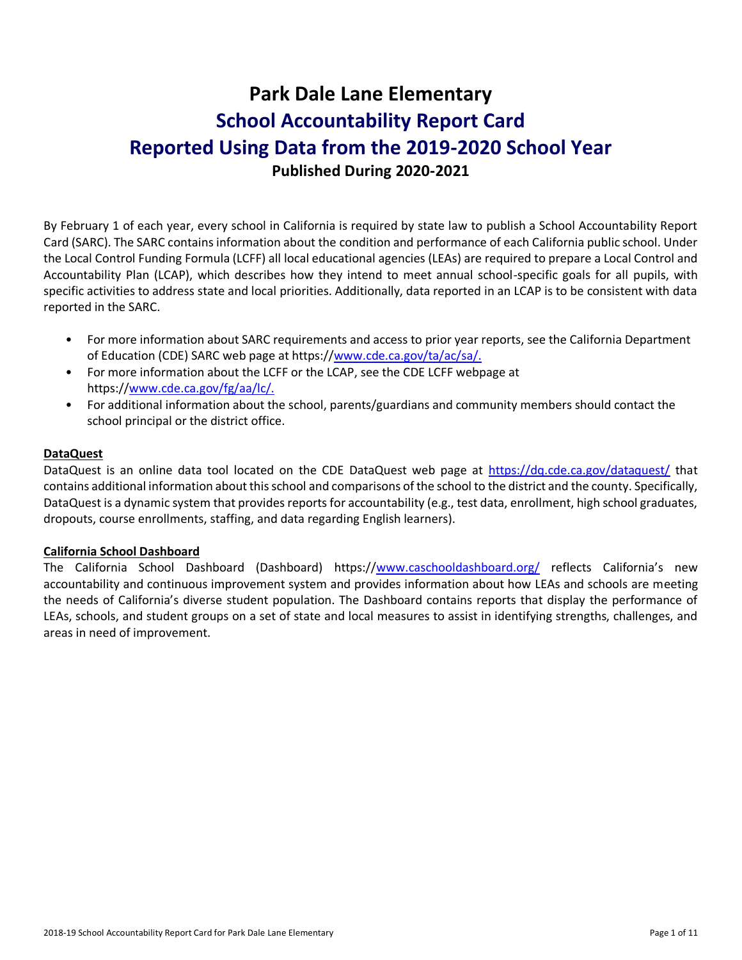# **Park Dale Lane Elementary School Accountability Report Card Reported Using Data from the 2019-2020 School Year Published During 2020-2021**

By February 1 of each year, every school in California is required by state law to publish a School Accountability Report Card (SARC). The SARC contains information about the condition and performance of each California public school. Under the Local Control Funding Formula (LCFF) all local educational agencies (LEAs) are required to prepare a Local Control and Accountability Plan (LCAP), which describes how they intend to meet annual school-specific goals for all pupils, with specific activities to address state and local priorities. Additionally, data reported in an LCAP is to be consistent with data reported in the SARC.

- For more information about SARC requirements and access to prior year reports, see the California Department of Education (CDE) SARC web page at https:/[/www.cde.ca.gov/ta/ac/sa/.](https://www.cde.ca.gov/ta/ac/sa/)
- For more information about the LCFF or the LCAP, see the CDE LCFF webpage at https:/[/www.cde.ca.gov/fg/aa/lc/.](https://www.cde.ca.gov/fg/aa/lc/)
- For additional information about the school, parents/guardians and community members should contact the school principal or the district office.

### **DataQuest**

DataQuest is an online data tool located on the CDE DataQuest web page at<https://dq.cde.ca.gov/dataquest/> that contains additional information about this school and comparisons of the school to the district and the county. Specifically, DataQuest is a dynamic system that provides reports for accountability (e.g., test data, enrollment, high school graduates, dropouts, course enrollments, staffing, and data regarding English learners).

#### **California School Dashboard**

The California School Dashboard (Dashboard) https:/[/www.caschooldashboard.org/](https://www.caschooldashboard.org/) reflects California's new accountability and continuous improvement system and provides information about how LEAs and schools are meeting the needs of California's diverse student population. The Dashboard contains reports that display the performance of LEAs, schools, and student groups on a set of state and local measures to assist in identifying strengths, challenges, and areas in need of improvement.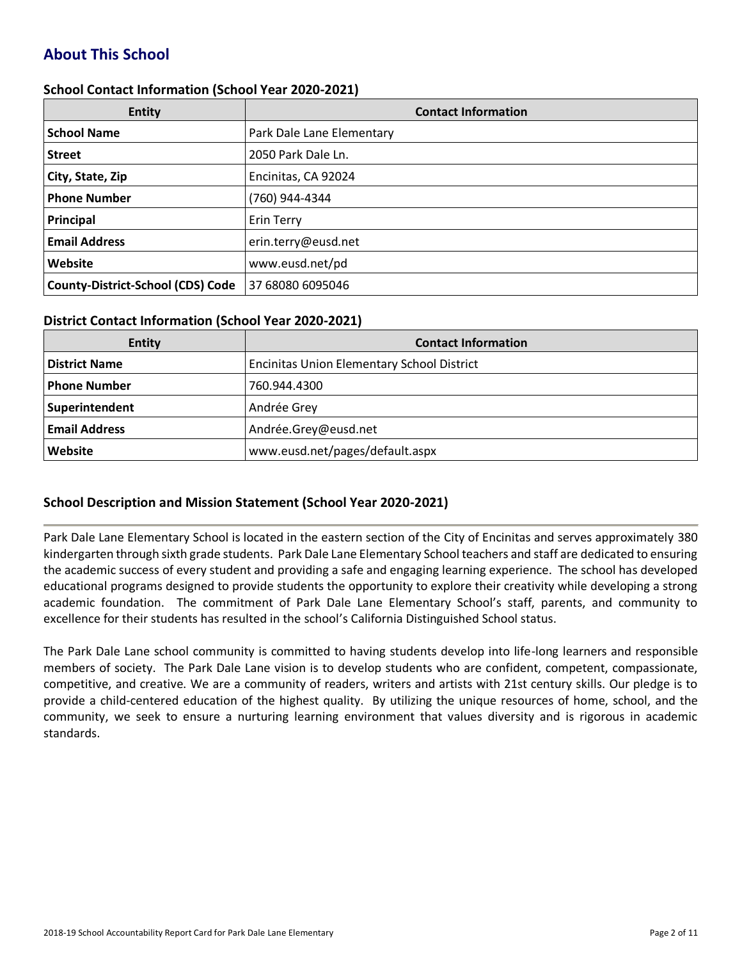# **About This School**

#### **School Contact Information (School Year 2020-2021)**

| <b>Entity</b>                            | <b>Contact Information</b> |
|------------------------------------------|----------------------------|
| <b>School Name</b>                       | Park Dale Lane Elementary  |
| <b>Street</b>                            | 2050 Park Dale Ln.         |
| City, State, Zip                         | Encinitas, CA 92024        |
| <b>Phone Number</b>                      | (760) 944-4344             |
| Principal                                | Erin Terry                 |
| <b>Email Address</b>                     | erin.terry@eusd.net        |
| Website                                  | www.eusd.net/pd            |
| <b>County-District-School (CDS) Code</b> | 37 68080 6095046           |

#### **District Contact Information (School Year 2020-2021)**

| <b>Entity</b>        | <b>Contact Information</b>                        |  |  |  |  |
|----------------------|---------------------------------------------------|--|--|--|--|
| <b>District Name</b> | <b>Encinitas Union Elementary School District</b> |  |  |  |  |
| Phone Number         | 760.944.4300                                      |  |  |  |  |
| Superintendent       | Andrée Grey                                       |  |  |  |  |
| <b>Email Address</b> | Andrée.Grey@eusd.net                              |  |  |  |  |
| Website              | www.eusd.net/pages/default.aspx                   |  |  |  |  |

#### **School Description and Mission Statement (School Year 2020-2021)**

Park Dale Lane Elementary School is located in the eastern section of the City of Encinitas and serves approximately 380 kindergarten through sixth grade students. Park Dale Lane Elementary School teachers and staff are dedicated to ensuring the academic success of every student and providing a safe and engaging learning experience. The school has developed educational programs designed to provide students the opportunity to explore their creativity while developing a strong academic foundation. The commitment of Park Dale Lane Elementary School's staff, parents, and community to excellence for their students has resulted in the school's California Distinguished School status.

The Park Dale Lane school community is committed to having students develop into life-long learners and responsible members of society. The Park Dale Lane vision is to develop students who are confident, competent, compassionate, competitive, and creative. We are a community of readers, writers and artists with 21st century skills. Our pledge is to provide a child-centered education of the highest quality. By utilizing the unique resources of home, school, and the community, we seek to ensure a nurturing learning environment that values diversity and is rigorous in academic standards.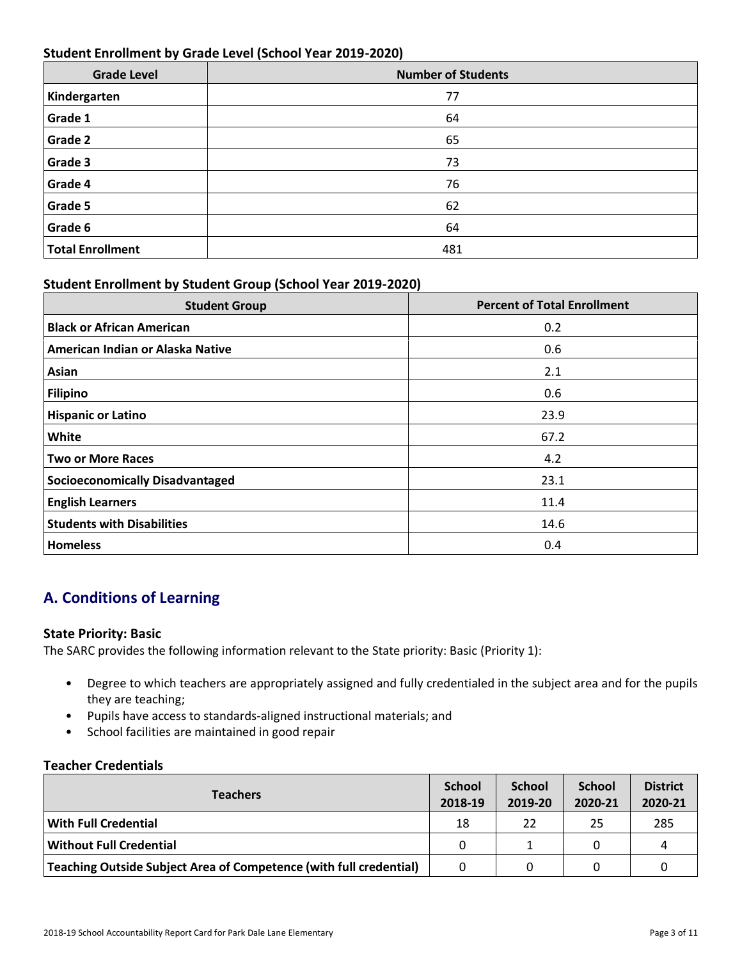### **Student Enrollment by Grade Level (School Year 2019-2020)**

| <b>Grade Level</b>      | <b>Number of Students</b> |
|-------------------------|---------------------------|
| Kindergarten            | 77                        |
| Grade 1                 | 64                        |
| Grade 2                 | 65                        |
| Grade 3                 | 73                        |
| Grade 4                 | 76                        |
| Grade 5                 | 62                        |
| Grade 6                 | 64                        |
| <b>Total Enrollment</b> | 481                       |

### **Student Enrollment by Student Group (School Year 2019-2020)**

| <b>Student Group</b>                   | <b>Percent of Total Enrollment</b> |
|----------------------------------------|------------------------------------|
| <b>Black or African American</b>       | 0.2                                |
| American Indian or Alaska Native       | 0.6                                |
| Asian                                  | 2.1                                |
| Filipino                               | 0.6                                |
| <b>Hispanic or Latino</b>              | 23.9                               |
| White                                  | 67.2                               |
| <b>Two or More Races</b>               | 4.2                                |
| <b>Socioeconomically Disadvantaged</b> | 23.1                               |
| <b>English Learners</b>                | 11.4                               |
| <b>Students with Disabilities</b>      | 14.6                               |
| <b>Homeless</b>                        | 0.4                                |

# **A. Conditions of Learning**

#### **State Priority: Basic**

The SARC provides the following information relevant to the State priority: Basic (Priority 1):

- Degree to which teachers are appropriately assigned and fully credentialed in the subject area and for the pupils they are teaching;
- Pupils have access to standards-aligned instructional materials; and
- School facilities are maintained in good repair

#### **Teacher Credentials**

| <b>Teachers</b>                                                    |    | <b>School</b><br>2019-20 | <b>School</b><br>2020-21 | <b>District</b><br>2020-21 |
|--------------------------------------------------------------------|----|--------------------------|--------------------------|----------------------------|
| <b>With Full Credential</b>                                        | 18 | 22                       | 25                       | 285                        |
| <b>Without Full Credential</b>                                     | 0  |                          | 0                        | 4                          |
| Teaching Outside Subject Area of Competence (with full credential) | 0  |                          | 0                        |                            |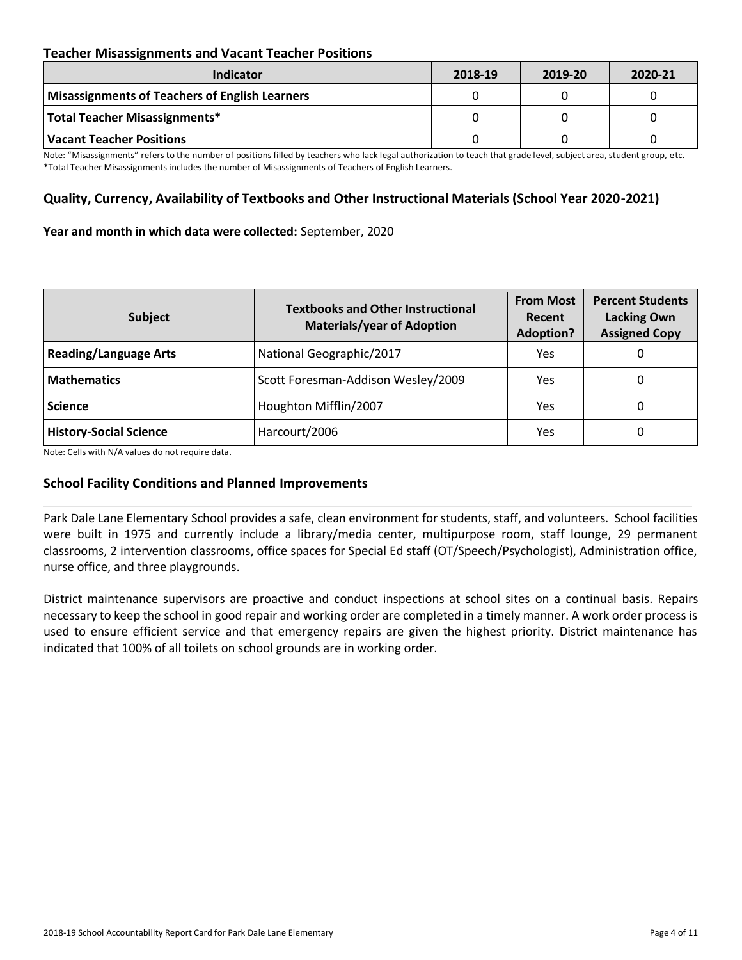### **Teacher Misassignments and Vacant Teacher Positions**

| <b>Indicator</b>                               | 2018-19 | 2019-20 | 2020-21 |
|------------------------------------------------|---------|---------|---------|
| Misassignments of Teachers of English Learners |         |         |         |
| Total Teacher Misassignments*                  |         |         |         |
| Vacant Teacher Positions                       |         |         |         |

Note: "Misassignments" refers to the number of positions filled by teachers who lack legal authorization to teach that grade level, subject area, student group, etc. \*Total Teacher Misassignments includes the number of Misassignments of Teachers of English Learners.

### **Quality, Currency, Availability of Textbooks and Other Instructional Materials (School Year 2020-2021)**

#### **Year and month in which data were collected:** September, 2020

| <b>Subject</b>                | <b>Textbooks and Other Instructional</b><br><b>Materials/year of Adoption</b> | <b>From Most</b><br>Recent<br><b>Adoption?</b> | <b>Percent Students</b><br><b>Lacking Own</b><br><b>Assigned Copy</b> |
|-------------------------------|-------------------------------------------------------------------------------|------------------------------------------------|-----------------------------------------------------------------------|
| <b>Reading/Language Arts</b>  | National Geographic/2017                                                      | Yes                                            | O                                                                     |
| <b>Mathematics</b>            | Scott Foresman-Addison Wesley/2009                                            | Yes                                            | 0                                                                     |
| <b>Science</b>                | Houghton Mifflin/2007                                                         | Yes                                            | 0                                                                     |
| <b>History-Social Science</b> | Harcourt/2006                                                                 | Yes                                            | 0                                                                     |

Note: Cells with N/A values do not require data.

#### **School Facility Conditions and Planned Improvements**

Park Dale Lane Elementary School provides a safe, clean environment for students, staff, and volunteers. School facilities were built in 1975 and currently include a library/media center, multipurpose room, staff lounge, 29 permanent classrooms, 2 intervention classrooms, office spaces for Special Ed staff (OT/Speech/Psychologist), Administration office, nurse office, and three playgrounds.

District maintenance supervisors are proactive and conduct inspections at school sites on a continual basis. Repairs necessary to keep the school in good repair and working order are completed in a timely manner. A work order process is used to ensure efficient service and that emergency repairs are given the highest priority. District maintenance has indicated that 100% of all toilets on school grounds are in working order.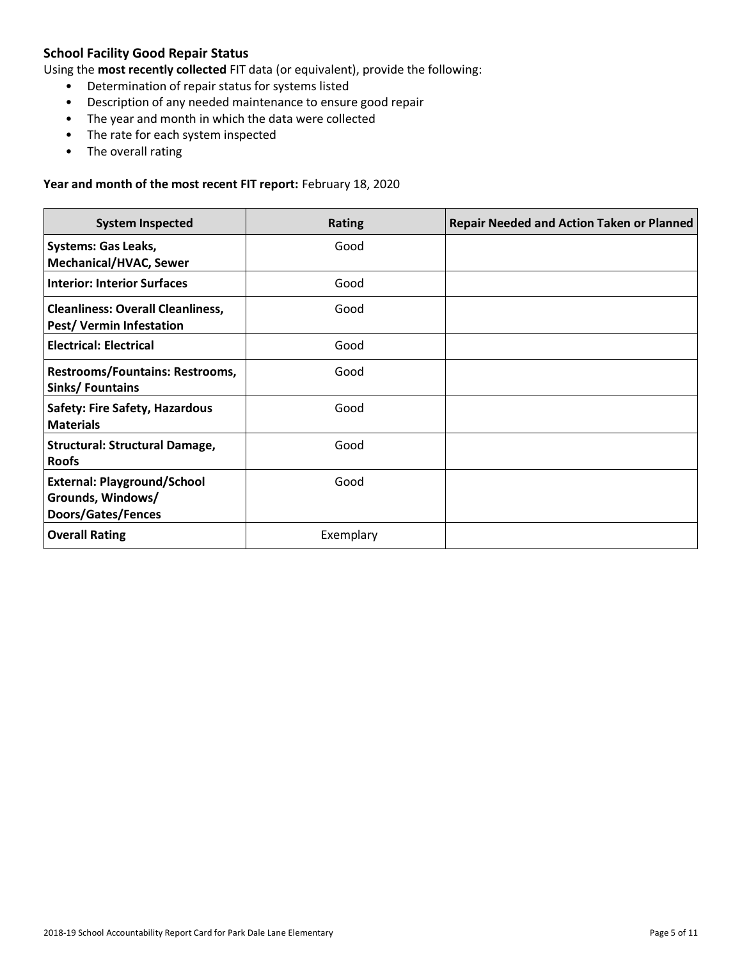## **School Facility Good Repair Status**

Using the **most recently collected** FIT data (or equivalent), provide the following:

- Determination of repair status for systems listed
- Description of any needed maintenance to ensure good repair
- The year and month in which the data were collected
- The rate for each system inspected
- The overall rating

#### **Year and month of the most recent FIT report:** February 18, 2020

| <b>System Inspected</b>                                                       | <b>Rating</b> | <b>Repair Needed and Action Taken or Planned</b> |
|-------------------------------------------------------------------------------|---------------|--------------------------------------------------|
| <b>Systems: Gas Leaks,</b><br><b>Mechanical/HVAC, Sewer</b>                   | Good          |                                                  |
| <b>Interior: Interior Surfaces</b>                                            | Good          |                                                  |
| <b>Cleanliness: Overall Cleanliness,</b><br><b>Pest/ Vermin Infestation</b>   | Good          |                                                  |
| <b>Electrical: Electrical</b>                                                 | Good          |                                                  |
| Restrooms/Fountains: Restrooms,<br>Sinks/Fountains                            | Good          |                                                  |
| <b>Safety: Fire Safety, Hazardous</b><br><b>Materials</b>                     | Good          |                                                  |
| <b>Structural: Structural Damage,</b><br><b>Roofs</b>                         | Good          |                                                  |
| <b>External: Playground/School</b><br>Grounds, Windows/<br>Doors/Gates/Fences | Good          |                                                  |
| <b>Overall Rating</b>                                                         | Exemplary     |                                                  |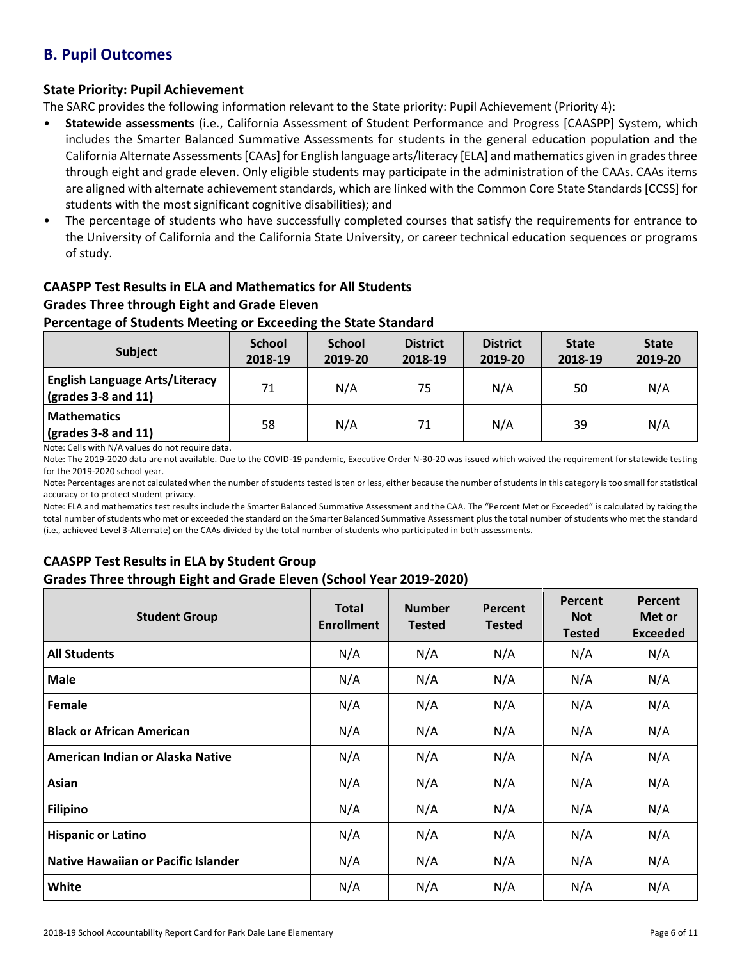# **B. Pupil Outcomes**

### **State Priority: Pupil Achievement**

The SARC provides the following information relevant to the State priority: Pupil Achievement (Priority 4):

- **Statewide assessments** (i.e., California Assessment of Student Performance and Progress [CAASPP] System, which includes the Smarter Balanced Summative Assessments for students in the general education population and the California Alternate Assessments [CAAs] for English language arts/literacy [ELA] and mathematics given in grades three through eight and grade eleven. Only eligible students may participate in the administration of the CAAs. CAAs items are aligned with alternate achievement standards, which are linked with the Common Core State Standards [CCSS] for students with the most significant cognitive disabilities); and
- The percentage of students who have successfully completed courses that satisfy the requirements for entrance to the University of California and the California State University, or career technical education sequences or programs of study.

# **CAASPP Test Results in ELA and Mathematics for All Students Grades Three through Eight and Grade Eleven**

### **Percentage of Students Meeting or Exceeding the State Standard**

| <b>Subject</b>                                                       | <b>School</b><br>2018-19 | <b>School</b><br>2019-20 | <b>District</b><br>2018-19 | <b>District</b><br>2019-20 | <b>State</b><br>2018-19 | <b>State</b><br>2019-20 |
|----------------------------------------------------------------------|--------------------------|--------------------------|----------------------------|----------------------------|-------------------------|-------------------------|
| <b>English Language Arts/Literacy</b><br>$\vert$ (grades 3-8 and 11) | 71                       | N/A                      | 75                         | N/A                        | 50                      | N/A                     |
| <b>Mathematics</b><br>$\sqrt{\frac{1}{2}}$ (grades 3-8 and 11)       | 58                       | N/A                      | 71                         | N/A                        | 39                      | N/A                     |

Note: Cells with N/A values do not require data.

Note: The 2019-2020 data are not available. Due to the COVID-19 pandemic, Executive Order N-30-20 was issued which waived the requirement for statewide testing for the 2019-2020 school year.

Note: Percentages are not calculated when the number of students tested is ten or less, either because the number of students in this category is too small for statistical accuracy or to protect student privacy.

Note: ELA and mathematics test results include the Smarter Balanced Summative Assessment and the CAA. The "Percent Met or Exceeded" is calculated by taking the total number of students who met or exceeded the standard on the Smarter Balanced Summative Assessment plus the total number of students who met the standard (i.e., achieved Level 3-Alternate) on the CAAs divided by the total number of students who participated in both assessments.

### **CAASPP Test Results in ELA by Student Group**

### **Grades Three through Eight and Grade Eleven (School Year 2019-2020)**

| <b>Student Group</b>                | <b>Total</b><br><b>Enrollment</b> | <b>Number</b><br><b>Tested</b> | Percent<br><b>Tested</b> | Percent<br><b>Not</b><br><b>Tested</b> | Percent<br>Met or<br><b>Exceeded</b> |
|-------------------------------------|-----------------------------------|--------------------------------|--------------------------|----------------------------------------|--------------------------------------|
| <b>All Students</b>                 | N/A                               | N/A                            | N/A                      | N/A                                    | N/A                                  |
| <b>Male</b>                         | N/A                               | N/A                            | N/A                      | N/A                                    | N/A                                  |
| Female                              | N/A                               | N/A                            | N/A                      | N/A                                    | N/A                                  |
| <b>Black or African American</b>    | N/A                               | N/A                            | N/A                      | N/A                                    | N/A                                  |
| American Indian or Alaska Native    | N/A                               | N/A                            | N/A                      | N/A                                    | N/A                                  |
| Asian                               | N/A                               | N/A                            | N/A                      | N/A                                    | N/A                                  |
| <b>Filipino</b>                     | N/A                               | N/A                            | N/A                      | N/A                                    | N/A                                  |
| <b>Hispanic or Latino</b>           | N/A                               | N/A                            | N/A                      | N/A                                    | N/A                                  |
| Native Hawaiian or Pacific Islander | N/A                               | N/A                            | N/A                      | N/A                                    | N/A                                  |
| White                               | N/A                               | N/A                            | N/A                      | N/A                                    | N/A                                  |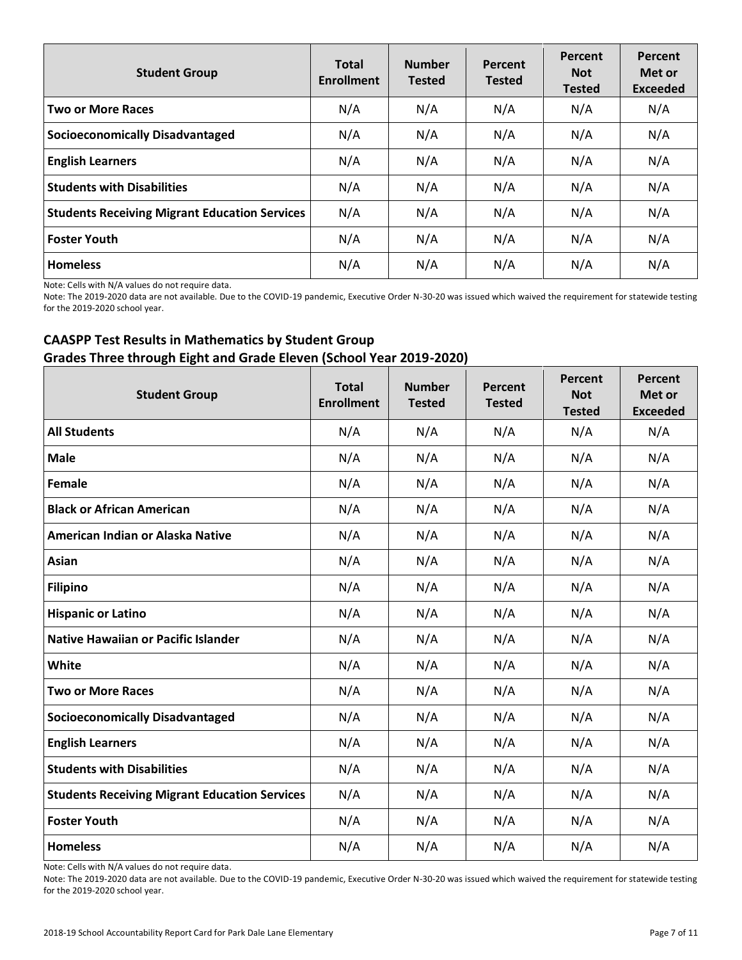| <b>Student Group</b>                                 | <b>Total</b><br><b>Enrollment</b> | <b>Number</b><br><b>Tested</b> | Percent<br><b>Tested</b> | Percent<br><b>Not</b><br><b>Tested</b> | Percent<br>Met or<br><b>Exceeded</b> |
|------------------------------------------------------|-----------------------------------|--------------------------------|--------------------------|----------------------------------------|--------------------------------------|
| <b>Two or More Races</b>                             | N/A                               | N/A                            | N/A                      | N/A                                    | N/A                                  |
| <b>Socioeconomically Disadvantaged</b>               | N/A                               | N/A                            | N/A                      | N/A                                    | N/A                                  |
| <b>English Learners</b>                              | N/A                               | N/A                            | N/A                      | N/A                                    | N/A                                  |
| <b>Students with Disabilities</b>                    | N/A                               | N/A                            | N/A                      | N/A                                    | N/A                                  |
| <b>Students Receiving Migrant Education Services</b> | N/A                               | N/A                            | N/A                      | N/A                                    | N/A                                  |
| <b>Foster Youth</b>                                  | N/A                               | N/A                            | N/A                      | N/A                                    | N/A                                  |
| <b>Homeless</b>                                      | N/A                               | N/A                            | N/A                      | N/A                                    | N/A                                  |

Note: Cells with N/A values do not require data.

Note: The 2019-2020 data are not available. Due to the COVID-19 pandemic, Executive Order N-30-20 was issued which waived the requirement for statewide testing for the 2019-2020 school year.

### **CAASPP Test Results in Mathematics by Student Group Grades Three through Eight and Grade Eleven (School Year 2019-2020)**

| <b>Student Group</b>                                 | <b>Total</b><br><b>Enrollment</b> | <b>Number</b><br><b>Tested</b> | Percent<br><b>Tested</b> | Percent<br><b>Not</b><br><b>Tested</b> | <b>Percent</b><br>Met or<br><b>Exceeded</b> |
|------------------------------------------------------|-----------------------------------|--------------------------------|--------------------------|----------------------------------------|---------------------------------------------|
| <b>All Students</b>                                  | N/A                               | N/A                            | N/A                      | N/A                                    | N/A                                         |
| <b>Male</b>                                          | N/A                               | N/A                            | N/A                      | N/A                                    | N/A                                         |
| Female                                               | N/A                               | N/A                            | N/A                      | N/A                                    | N/A                                         |
| <b>Black or African American</b>                     | N/A                               | N/A                            | N/A                      | N/A                                    | N/A                                         |
| American Indian or Alaska Native                     | N/A                               | N/A                            | N/A                      | N/A                                    | N/A                                         |
| Asian                                                | N/A                               | N/A                            | N/A                      | N/A                                    | N/A                                         |
| <b>Filipino</b>                                      | N/A                               | N/A                            | N/A                      | N/A                                    | N/A                                         |
| <b>Hispanic or Latino</b>                            | N/A                               | N/A                            | N/A                      | N/A                                    | N/A                                         |
| <b>Native Hawaiian or Pacific Islander</b>           | N/A                               | N/A                            | N/A                      | N/A                                    | N/A                                         |
| White                                                | N/A                               | N/A                            | N/A                      | N/A                                    | N/A                                         |
| <b>Two or More Races</b>                             | N/A                               | N/A                            | N/A                      | N/A                                    | N/A                                         |
| <b>Socioeconomically Disadvantaged</b>               | N/A                               | N/A                            | N/A                      | N/A                                    | N/A                                         |
| <b>English Learners</b>                              | N/A                               | N/A                            | N/A                      | N/A                                    | N/A                                         |
| <b>Students with Disabilities</b>                    | N/A                               | N/A                            | N/A                      | N/A                                    | N/A                                         |
| <b>Students Receiving Migrant Education Services</b> | N/A                               | N/A                            | N/A                      | N/A                                    | N/A                                         |
| <b>Foster Youth</b>                                  | N/A                               | N/A                            | N/A                      | N/A                                    | N/A                                         |
| <b>Homeless</b>                                      | N/A                               | N/A                            | N/A                      | N/A                                    | N/A                                         |

Note: Cells with N/A values do not require data.

Note: The 2019-2020 data are not available. Due to the COVID-19 pandemic, Executive Order N-30-20 was issued which waived the requirement for statewide testing for the 2019-2020 school year.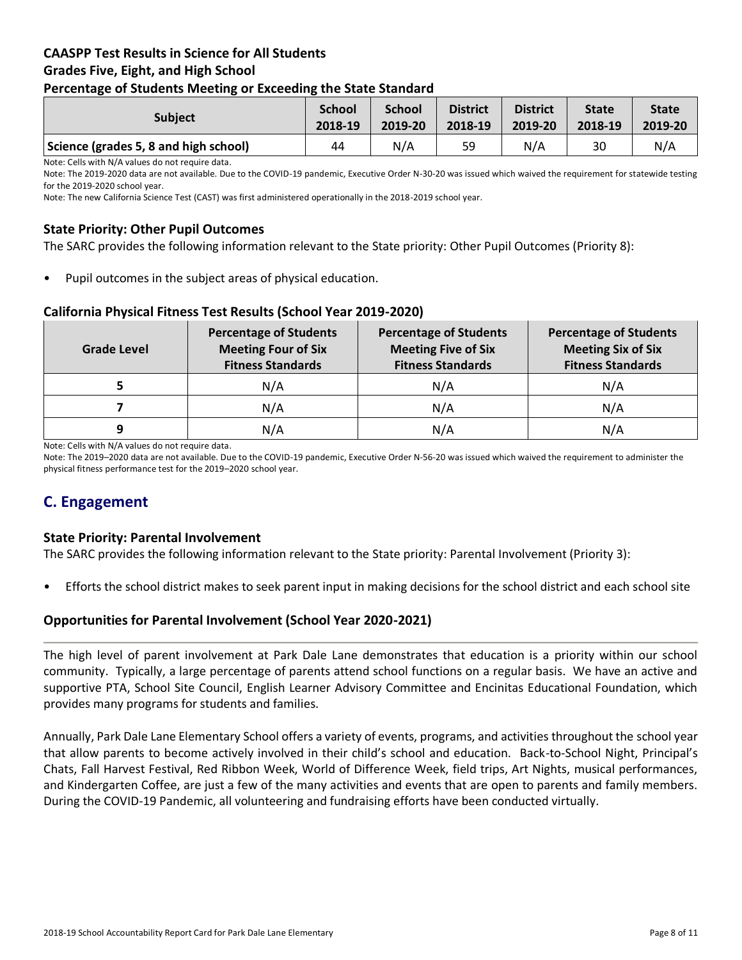### **CAASPP Test Results in Science for All Students Grades Five, Eight, and High School Percentage of Students Meeting or Exceeding the State Standard**

| . .<br>-                              | --                       |                          |                            |                            |                         |                         |
|---------------------------------------|--------------------------|--------------------------|----------------------------|----------------------------|-------------------------|-------------------------|
| <b>Subject</b>                        | <b>School</b><br>2018-19 | <b>School</b><br>2019-20 | <b>District</b><br>2018-19 | <b>District</b><br>2019-20 | <b>State</b><br>2018-19 | <b>State</b><br>2019-20 |
| Science (grades 5, 8 and high school) | 44                       | N/A                      | 59                         | N/A                        | 30                      | N/A                     |

Note: Cells with N/A values do not require data.

Note: The 2019-2020 data are not available. Due to the COVID-19 pandemic, Executive Order N-30-20 was issued which waived the requirement for statewide testing for the 2019-2020 school year.

Note: The new California Science Test (CAST) was first administered operationally in the 2018-2019 school year.

### **State Priority: Other Pupil Outcomes**

The SARC provides the following information relevant to the State priority: Other Pupil Outcomes (Priority 8):

Pupil outcomes in the subject areas of physical education.

#### **California Physical Fitness Test Results (School Year 2019-2020)**

| <b>Grade Level</b> | <b>Percentage of Students</b><br><b>Meeting Four of Six</b><br><b>Fitness Standards</b> | <b>Percentage of Students</b><br><b>Meeting Five of Six</b><br><b>Fitness Standards</b> | <b>Percentage of Students</b><br><b>Meeting Six of Six</b><br><b>Fitness Standards</b> |  |
|--------------------|-----------------------------------------------------------------------------------------|-----------------------------------------------------------------------------------------|----------------------------------------------------------------------------------------|--|
|                    | N/A                                                                                     | N/A                                                                                     | N/A                                                                                    |  |
|                    | N/A                                                                                     | N/A                                                                                     | N/A                                                                                    |  |
| 9                  | N/A                                                                                     | N/A                                                                                     | N/A                                                                                    |  |

Note: Cells with N/A values do not require data.

Note: The 2019–2020 data are not available. Due to the COVID-19 pandemic, Executive Order N-56-20 was issued which waived the requirement to administer the physical fitness performance test for the 2019–2020 school year.

# **C. Engagement**

#### **State Priority: Parental Involvement**

The SARC provides the following information relevant to the State priority: Parental Involvement (Priority 3):

• Efforts the school district makes to seek parent input in making decisions for the school district and each school site

#### **Opportunities for Parental Involvement (School Year 2020-2021)**

The high level of parent involvement at Park Dale Lane demonstrates that education is a priority within our school community. Typically, a large percentage of parents attend school functions on a regular basis. We have an active and supportive PTA, School Site Council, English Learner Advisory Committee and Encinitas Educational Foundation, which provides many programs for students and families.

Annually, Park Dale Lane Elementary School offers a variety of events, programs, and activities throughout the school year that allow parents to become actively involved in their child's school and education. Back-to-School Night, Principal's Chats, Fall Harvest Festival, Red Ribbon Week, World of Difference Week, field trips, Art Nights, musical performances, and Kindergarten Coffee, are just a few of the many activities and events that are open to parents and family members. During the COVID-19 Pandemic, all volunteering and fundraising efforts have been conducted virtually.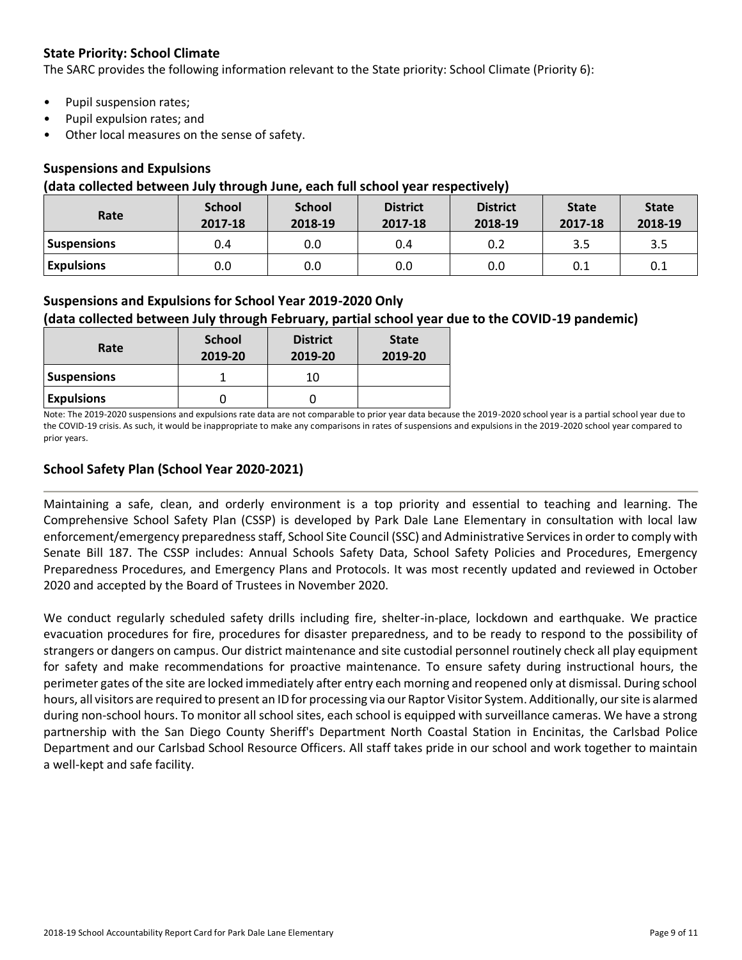### **State Priority: School Climate**

The SARC provides the following information relevant to the State priority: School Climate (Priority 6):

- Pupil suspension rates;
- Pupil expulsion rates; and
- Other local measures on the sense of safety.

### **Suspensions and Expulsions**

#### **(data collected between July through June, each full school year respectively)**

| Rate              | <b>School</b><br>2017-18 | <b>School</b><br>2018-19 | <b>District</b><br>2017-18 | <b>District</b><br>2018-19 | <b>State</b><br>2017-18 | <b>State</b><br>2018-19 |
|-------------------|--------------------------|--------------------------|----------------------------|----------------------------|-------------------------|-------------------------|
| Suspensions       | 0.4                      | 0.0                      | 0.4                        | 0.2                        | 3.5                     | 3.5                     |
| <b>Expulsions</b> | 0.0                      | 0.0                      | 0.0                        | 0.0                        | 0.1                     | 0.1                     |

### **Suspensions and Expulsions for School Year 2019-2020 Only**

### **(data collected between July through February, partial school year due to the COVID-19 pandemic)**

| Rate               | <b>School</b><br>2019-20 | <b>District</b><br>2019-20 | <b>State</b><br>2019-20 |
|--------------------|--------------------------|----------------------------|-------------------------|
| <b>Suspensions</b> |                          | 10                         |                         |
| <b>Expulsions</b>  |                          |                            |                         |

Note: The 2019-2020 suspensions and expulsions rate data are not comparable to prior year data because the 2019-2020 school year is a partial school year due to the COVID-19 crisis. As such, it would be inappropriate to make any comparisons in rates of suspensions and expulsions in the 2019-2020 school year compared to prior years.

### **School Safety Plan (School Year 2020-2021)**

Maintaining a safe, clean, and orderly environment is a top priority and essential to teaching and learning. The Comprehensive School Safety Plan (CSSP) is developed by Park Dale Lane Elementary in consultation with local law enforcement/emergency preparedness staff, School Site Council (SSC) and Administrative Services in order to comply with Senate Bill 187. The CSSP includes: Annual Schools Safety Data, School Safety Policies and Procedures, Emergency Preparedness Procedures, and Emergency Plans and Protocols. It was most recently updated and reviewed in October 2020 and accepted by the Board of Trustees in November 2020.

We conduct regularly scheduled safety drills including fire, shelter-in-place, lockdown and earthquake. We practice evacuation procedures for fire, procedures for disaster preparedness, and to be ready to respond to the possibility of strangers or dangers on campus. Our district maintenance and site custodial personnel routinely check all play equipment for safety and make recommendations for proactive maintenance. To ensure safety during instructional hours, the perimeter gates of the site are locked immediately after entry each morning and reopened only at dismissal. During school hours, all visitors are required to present an ID for processing via our Raptor Visitor System. Additionally, our site is alarmed during non-school hours. To monitor all school sites, each school is equipped with surveillance cameras. We have a strong partnership with the San Diego County Sheriff's Department North Coastal Station in Encinitas, the Carlsbad Police Department and our Carlsbad School Resource Officers. All staff takes pride in our school and work together to maintain a well-kept and safe facility.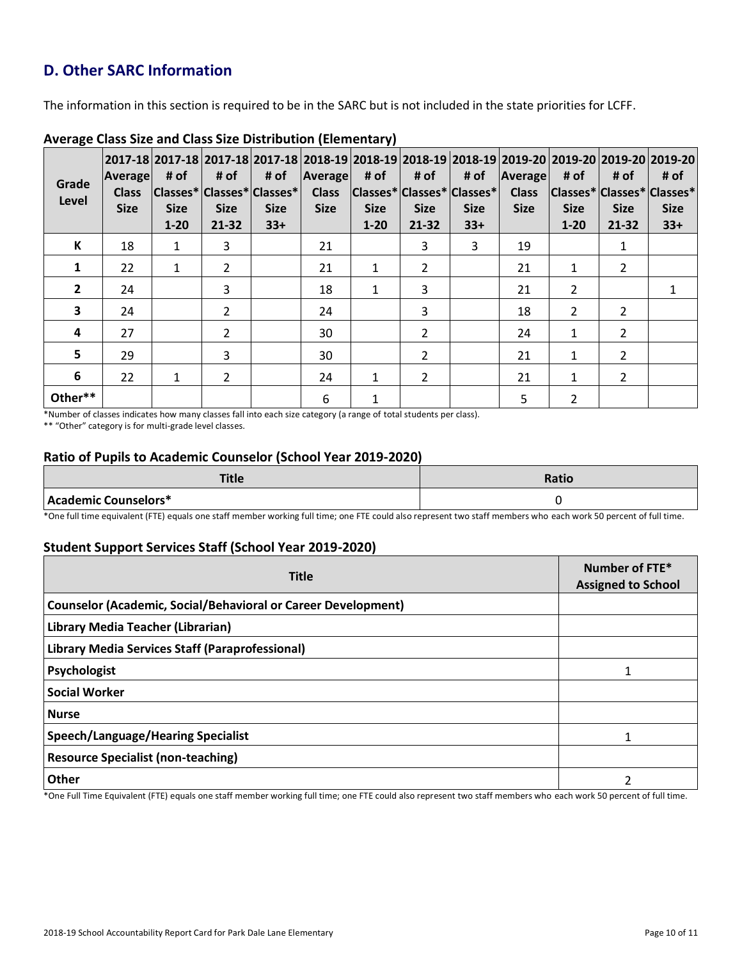# **D. Other SARC Information**

The information in this section is required to be in the SARC but is not included in the state priorities for LCFF.

| Grade<br>Level | Average<br><b>Class</b><br><b>Size</b> | # of<br><b>Size</b><br>$1 - 20$ | # of<br><b>Size</b><br>$21 - 32$ | # of<br>  Classes*   Classes*   Classes*  <br><b>Size</b><br>$33+$ | Average<br><b>Class</b><br><b>Size</b> | # of<br><b>Size</b><br>$1 - 20$ | # of<br>$ Classes^* Classes^* Classes^* $<br><b>Size</b><br>$21 - 32$ | # of<br><b>Size</b><br>$33+$ | Average<br><b>Class</b><br><b>Size</b> | 2017-18  2017-18  2017-18  2017-18  2018-19  2018-19  2018-19  2018-19  2019-20  2019-20  2019-20  2019-20 <br># of<br> Classes* Classes* Classes*<br><b>Size</b><br>$1 - 20$ | # of<br><b>Size</b><br>21-32 | # of<br><b>Size</b><br>$33+$ |
|----------------|----------------------------------------|---------------------------------|----------------------------------|--------------------------------------------------------------------|----------------------------------------|---------------------------------|-----------------------------------------------------------------------|------------------------------|----------------------------------------|-------------------------------------------------------------------------------------------------------------------------------------------------------------------------------|------------------------------|------------------------------|
| К              | 18                                     | 1                               | 3                                |                                                                    | 21                                     |                                 | 3                                                                     | 3                            | 19                                     |                                                                                                                                                                               |                              |                              |
| 1              | 22                                     | $\mathbf{1}$                    | $\overline{2}$                   |                                                                    | 21                                     | 1                               | $\overline{2}$                                                        |                              | 21                                     | 1                                                                                                                                                                             | $\overline{2}$               |                              |
| $\overline{2}$ | 24                                     |                                 | $\overline{3}$                   |                                                                    | 18                                     | $\mathbf{1}$                    | 3                                                                     |                              | 21                                     | $\mathfrak{p}$                                                                                                                                                                |                              |                              |
| 3              | 24                                     |                                 | $\overline{2}$                   |                                                                    | 24                                     |                                 | 3                                                                     |                              | 18                                     | $\mathcal{P}$                                                                                                                                                                 | $\overline{2}$               |                              |
| 4              | 27                                     |                                 | $\overline{2}$                   |                                                                    | 30                                     |                                 | 2                                                                     |                              | 24                                     | 1                                                                                                                                                                             | $\overline{2}$               |                              |
| 5              | 29                                     |                                 | 3                                |                                                                    | 30                                     |                                 | $\overline{2}$                                                        |                              | 21                                     | 1                                                                                                                                                                             | $\overline{2}$               |                              |
| 6              | 22                                     | $\mathbf{1}$                    | $\overline{2}$                   |                                                                    | 24                                     | $\mathbf{1}$                    | $\overline{2}$                                                        |                              | 21                                     | $\mathbf{1}$                                                                                                                                                                  | $\mathcal{P}$                |                              |
| Other**        |                                        |                                 |                                  |                                                                    | 6                                      | 1                               |                                                                       |                              | 5                                      | $\overline{2}$                                                                                                                                                                |                              |                              |

#### **Average Class Size and Class Size Distribution (Elementary)**

\*Number of classes indicates how many classes fall into each size category (a range of total students per class).

\*\* "Other" category is for multi-grade level classes.

### **Ratio of Pupils to Academic Counselor (School Year 2019-2020)**

| Title                | Ratio |
|----------------------|-------|
| Academic Counselors* |       |

\*One full time equivalent (FTE) equals one staff member working full time; one FTE could also represent two staff members who each work 50 percent of full time.

### **Student Support Services Staff (School Year 2019-2020)**

| <b>Title</b>                                                         | Number of FTE*<br><b>Assigned to School</b> |
|----------------------------------------------------------------------|---------------------------------------------|
| <b>Counselor (Academic, Social/Behavioral or Career Development)</b> |                                             |
| Library Media Teacher (Librarian)                                    |                                             |
| Library Media Services Staff (Paraprofessional)                      |                                             |
| Psychologist                                                         |                                             |
| <b>Social Worker</b>                                                 |                                             |
| <b>Nurse</b>                                                         |                                             |
| <b>Speech/Language/Hearing Specialist</b>                            |                                             |
| <b>Resource Specialist (non-teaching)</b>                            |                                             |
| <b>Other</b>                                                         |                                             |

\*One Full Time Equivalent (FTE) equals one staff member working full time; one FTE could also represent two staff members who each work 50 percent of full time.